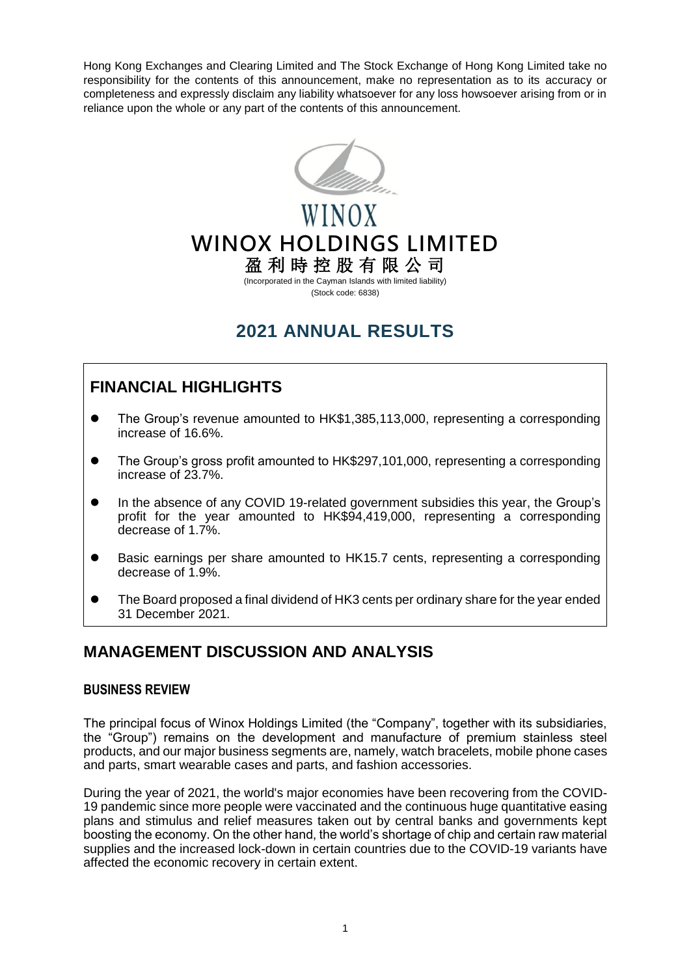Hong Kong Exchanges and Clearing Limited and The Stock Exchange of Hong Kong Limited take no responsibility for the contents of this announcement, make no representation as to its accuracy or completeness and expressly disclaim any liability whatsoever for any loss howsoever arising from or in reliance upon the whole or any part of the contents of this announcement.



# WINOX **WINOX HOLDINGS LIMITED** 盈 利 時 控 股 有 限 公 司

(Incorporated in the Cayman Islands with limited liability) (Stock code: 6838)

# **2021 ANNUAL RESULTS**

## **FINANCIAL HIGHLIGHTS**

- The Group's revenue amounted to HK\$1,385,113,000, representing a corresponding increase of 16.6%.
- The Group's gross profit amounted to HK\$297,101,000, representing a corresponding increase of 23.7%.
- In the absence of any COVID 19-related government subsidies this year, the Group's profit for the year amounted to HK\$94,419,000, representing a corresponding decrease of 1.7%.
- Basic earnings per share amounted to HK15.7 cents, representing a corresponding decrease of 1.9%.
- The Board proposed a final dividend of HK3 cents per ordinary share for the year ended 31 December 2021.

## **MANAGEMENT DISCUSSION AND ANALYSIS**

### **BUSINESS REVIEW**

The principal focus of Winox Holdings Limited (the "Company", together with its subsidiaries, the "Group") remains on the development and manufacture of premium stainless steel products, and our major business segments are, namely, watch bracelets, mobile phone cases and parts, smart wearable cases and parts, and fashion accessories.

During the year of 2021, the world's major economies have been recovering from the COVID-19 pandemic since more people were vaccinated and the continuous huge quantitative easing plans and stimulus and relief measures taken out by central banks and governments kept boosting the economy. On the other hand, the world's shortage of chip and certain raw material supplies and the increased lock-down in certain countries due to the COVID-19 variants have affected the economic recovery in certain extent.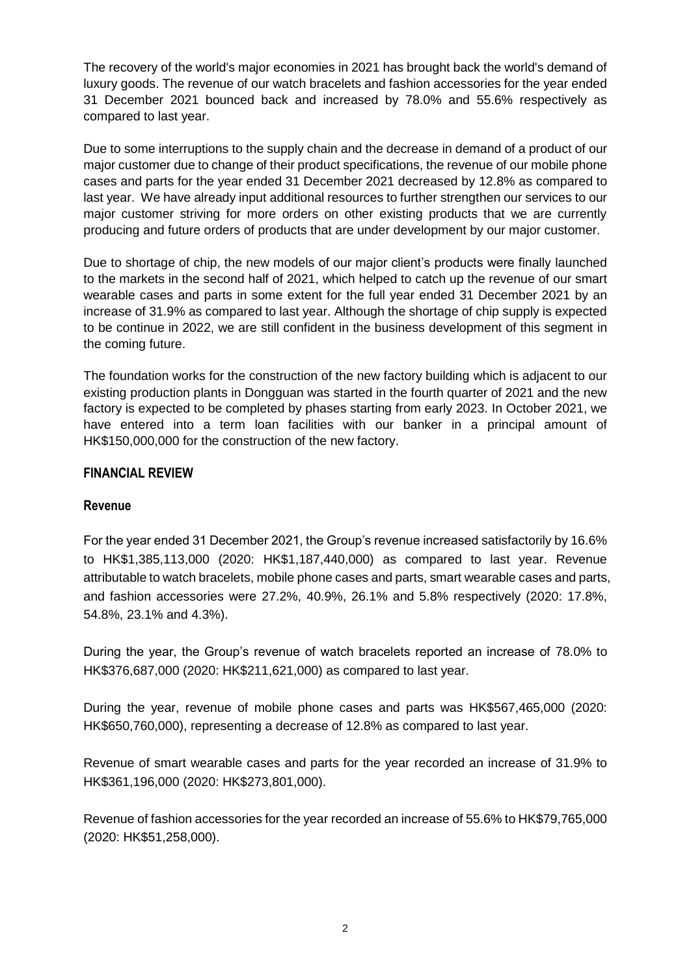The recovery of the world's major economies in 2021 has brought back the world's demand of luxury goods. The revenue of our watch bracelets and fashion accessories for the year ended 31 December 2021 bounced back and increased by 78.0% and 55.6% respectively as compared to last year.

Due to some interruptions to the supply chain and the decrease in demand of a product of our major customer due to change of their product specifications, the revenue of our mobile phone cases and parts for the year ended 31 December 2021 decreased by 12.8% as compared to last year. We have already input additional resources to further strengthen our services to our major customer striving for more orders on other existing products that we are currently producing and future orders of products that are under development by our major customer.

Due to shortage of chip, the new models of our major client's products were finally launched to the markets in the second half of 2021, which helped to catch up the revenue of our smart wearable cases and parts in some extent for the full year ended 31 December 2021 by an increase of 31.9% as compared to last year. Although the shortage of chip supply is expected to be continue in 2022, we are still confident in the business development of this segment in the coming future.

The foundation works for the construction of the new factory building which is adjacent to our existing production plants in Dongguan was started in the fourth quarter of 2021 and the new factory is expected to be completed by phases starting from early 2023. In October 2021, we have entered into a term loan facilities with our banker in a principal amount of HK\$150,000,000 for the construction of the new factory.

#### **FINANCIAL REVIEW**

#### **Revenue**

For the year ended 31 December 2021, the Group's revenue increased satisfactorily by 16.6% to HK\$1,385,113,000 (2020: HK\$1,187,440,000) as compared to last year. Revenue attributable to watch bracelets, mobile phone cases and parts, smart wearable cases and parts, and fashion accessories were 27.2%, 40.9%, 26.1% and 5.8% respectively (2020: 17.8%, 54.8%, 23.1% and 4.3%).

During the year, the Group's revenue of watch bracelets reported an increase of 78.0% to HK\$376,687,000 (2020: HK\$211,621,000) as compared to last year.

During the year, revenue of mobile phone cases and parts was HK\$567,465,000 (2020: HK\$650,760,000), representing a decrease of 12.8% as compared to last year.

Revenue of smart wearable cases and parts for the year recorded an increase of 31.9% to HK\$361,196,000 (2020: HK\$273,801,000).

Revenue of fashion accessories for the year recorded an increase of 55.6% to HK\$79,765,000 (2020: HK\$51,258,000).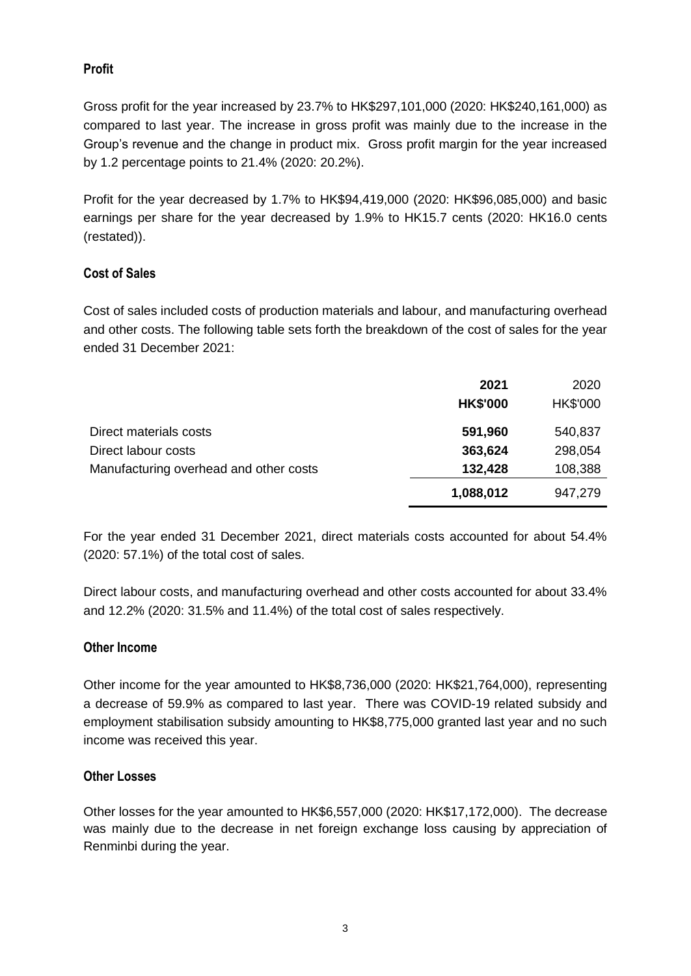## **Profit**

Gross profit for the year increased by 23.7% to HK\$297,101,000 (2020: HK\$240,161,000) as compared to last year. The increase in gross profit was mainly due to the increase in the Group's revenue and the change in product mix. Gross profit margin for the year increased by 1.2 percentage points to 21.4% (2020: 20.2%).

Profit for the year decreased by 1.7% to HK\$94,419,000 (2020: HK\$96,085,000) and basic earnings per share for the year decreased by 1.9% to HK15.7 cents (2020: HK16.0 cents (restated)).

## **Cost of Sales**

Cost of sales included costs of production materials and labour, and manufacturing overhead and other costs. The following table sets forth the breakdown of the cost of sales for the year ended 31 December 2021:

|                                        | 2021            | 2020     |
|----------------------------------------|-----------------|----------|
|                                        | <b>HK\$'000</b> | HK\$'000 |
| Direct materials costs                 | 591,960         | 540,837  |
| Direct labour costs                    | 363,624         | 298,054  |
| Manufacturing overhead and other costs | 132,428         | 108,388  |
|                                        | 1,088,012       | 947,279  |

For the year ended 31 December 2021, direct materials costs accounted for about 54.4% (2020: 57.1%) of the total cost of sales.

Direct labour costs, and manufacturing overhead and other costs accounted for about 33.4% and 12.2% (2020: 31.5% and 11.4%) of the total cost of sales respectively.

### **Other Income**

Other income for the year amounted to HK\$8,736,000 (2020: HK\$21,764,000), representing a decrease of 59.9% as compared to last year. There was COVID-19 related subsidy and employment stabilisation subsidy amounting to HK\$8,775,000 granted last year and no such income was received this year.

### **Other Losses**

Other losses for the year amounted to HK\$6,557,000 (2020: HK\$17,172,000). The decrease was mainly due to the decrease in net foreign exchange loss causing by appreciation of Renminbi during the year.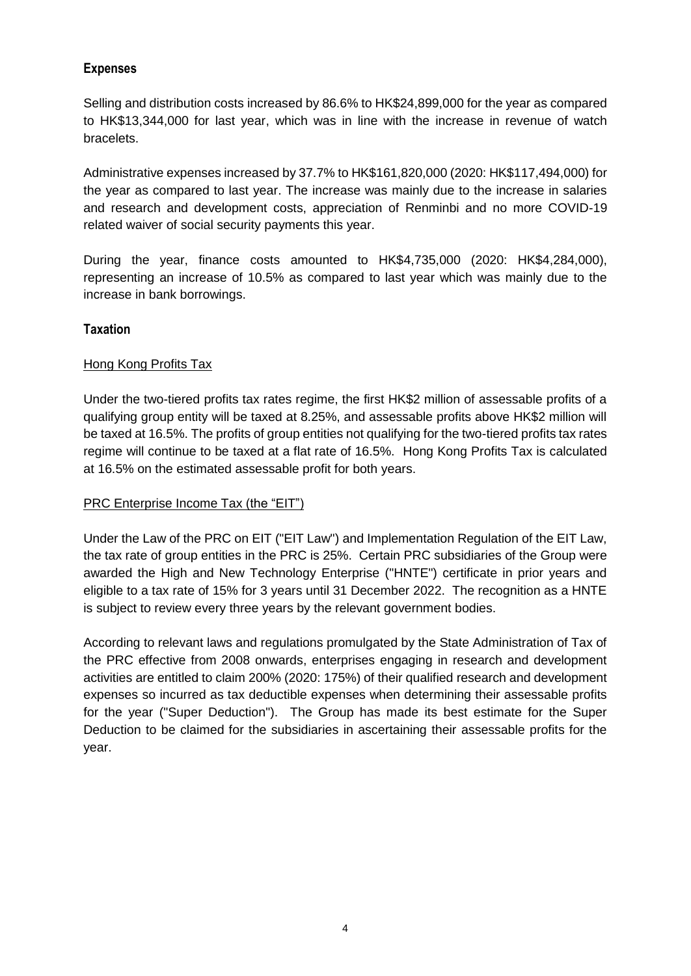## **Expenses**

Selling and distribution costs increased by 86.6% to HK\$24,899,000 for the year as compared to HK\$13,344,000 for last year, which was in line with the increase in revenue of watch bracelets.

Administrative expenses increased by 37.7% to HK\$161,820,000 (2020: HK\$117,494,000) for the year as compared to last year. The increase was mainly due to the increase in salaries and research and development costs, appreciation of Renminbi and no more COVID-19 related waiver of social security payments this year.

During the year, finance costs amounted to HK\$4,735,000 (2020: HK\$4,284,000), representing an increase of 10.5% as compared to last year which was mainly due to the increase in bank borrowings.

### **Taxation**

### Hong Kong Profits Tax

Under the two-tiered profits tax rates regime, the first HK\$2 million of assessable profits of a qualifying group entity will be taxed at 8.25%, and assessable profits above HK\$2 million will be taxed at 16.5%. The profits of group entities not qualifying for the two-tiered profits tax rates regime will continue to be taxed at a flat rate of 16.5%. Hong Kong Profits Tax is calculated at 16.5% on the estimated assessable profit for both years.

### PRC Enterprise Income Tax (the "EIT")

Under the Law of the PRC on EIT ("EIT Law") and Implementation Regulation of the EIT Law, the tax rate of group entities in the PRC is 25%. Certain PRC subsidiaries of the Group were awarded the High and New Technology Enterprise ("HNTE") certificate in prior years and eligible to a tax rate of 15% for 3 years until 31 December 2022. The recognition as a HNTE is subject to review every three years by the relevant government bodies.

According to relevant laws and regulations promulgated by the State Administration of Tax of the PRC effective from 2008 onwards, enterprises engaging in research and development activities are entitled to claim 200% (2020: 175%) of their qualified research and development expenses so incurred as tax deductible expenses when determining their assessable profits for the year ("Super Deduction"). The Group has made its best estimate for the Super Deduction to be claimed for the subsidiaries in ascertaining their assessable profits for the year.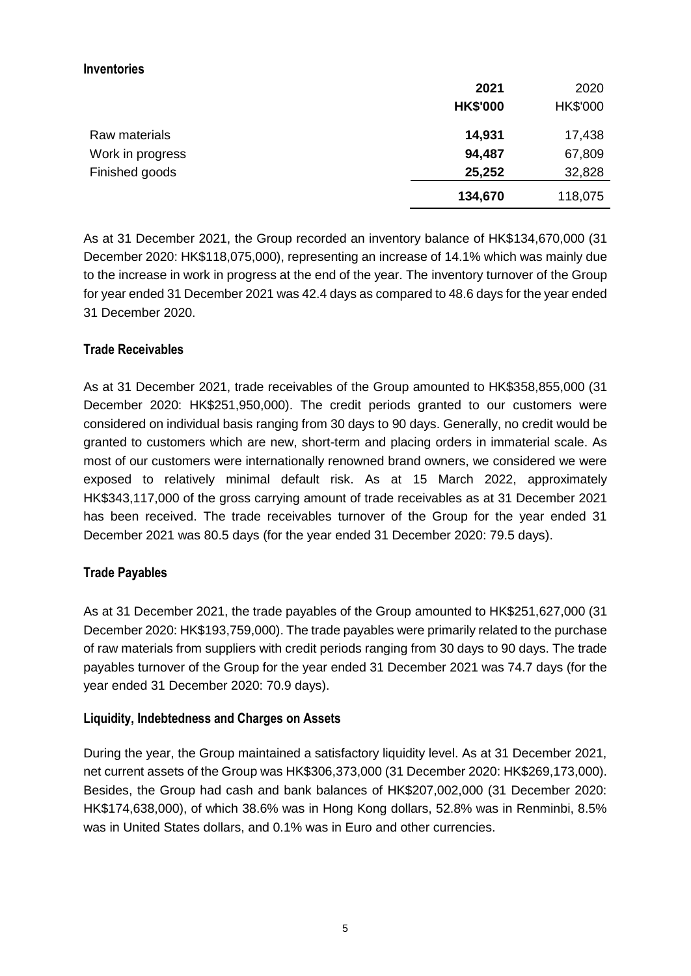#### **Inventories**

|                  | 2021            | 2020     |
|------------------|-----------------|----------|
|                  | <b>HK\$'000</b> | HK\$'000 |
| Raw materials    | 14,931          | 17,438   |
| Work in progress | 94,487          | 67,809   |
| Finished goods   | 25,252          | 32,828   |
|                  | 134,670         | 118,075  |

As at 31 December 2021, the Group recorded an inventory balance of HK\$134,670,000 (31 December 2020: HK\$118,075,000), representing an increase of 14.1% which was mainly due to the increase in work in progress at the end of the year. The inventory turnover of the Group for year ended 31 December 2021 was 42.4 days as compared to 48.6 days for the year ended 31 December 2020.

### **Trade Receivables**

As at 31 December 2021, trade receivables of the Group amounted to HK\$358,855,000 (31 December 2020: HK\$251,950,000). The credit periods granted to our customers were considered on individual basis ranging from 30 days to 90 days. Generally, no credit would be granted to customers which are new, short-term and placing orders in immaterial scale. As most of our customers were internationally renowned brand owners, we considered we were exposed to relatively minimal default risk. As at 15 March 2022, approximately HK\$343,117,000 of the gross carrying amount of trade receivables as at 31 December 2021 has been received. The trade receivables turnover of the Group for the year ended 31 December 2021 was 80.5 days (for the year ended 31 December 2020: 79.5 days).

### **Trade Payables**

As at 31 December 2021, the trade payables of the Group amounted to HK\$251,627,000 (31 December 2020: HK\$193,759,000). The trade payables were primarily related to the purchase of raw materials from suppliers with credit periods ranging from 30 days to 90 days. The trade payables turnover of the Group for the year ended 31 December 2021 was 74.7 days (for the year ended 31 December 2020: 70.9 days).

### **Liquidity, Indebtedness and Charges on Assets**

During the year, the Group maintained a satisfactory liquidity level. As at 31 December 2021, net current assets of the Group was HK\$306,373,000 (31 December 2020: HK\$269,173,000). Besides, the Group had cash and bank balances of HK\$207,002,000 (31 December 2020: HK\$174,638,000), of which 38.6% was in Hong Kong dollars, 52.8% was in Renminbi, 8.5% was in United States dollars, and 0.1% was in Euro and other currencies.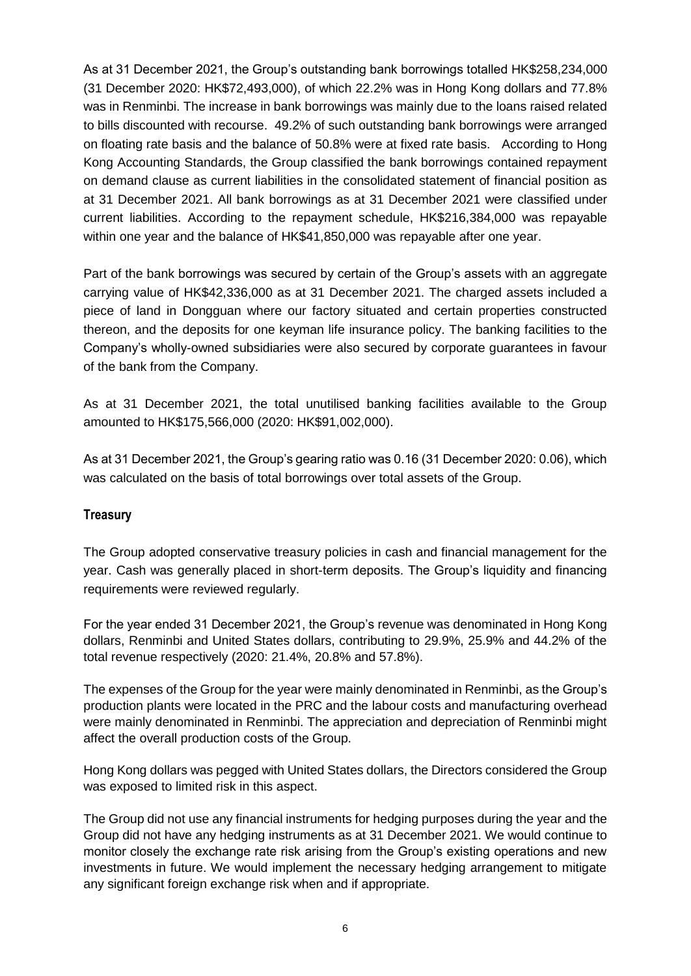As at 31 December 2021, the Group's outstanding bank borrowings totalled HK\$258,234,000 (31 December 2020: HK\$72,493,000), of which 22.2% was in Hong Kong dollars and 77.8% was in Renminbi. The increase in bank borrowings was mainly due to the loans raised related to bills discounted with recourse. 49.2% of such outstanding bank borrowings were arranged on floating rate basis and the balance of 50.8% were at fixed rate basis. According to Hong Kong Accounting Standards, the Group classified the bank borrowings contained repayment on demand clause as current liabilities in the consolidated statement of financial position as at 31 December 2021. All bank borrowings as at 31 December 2021 were classified under current liabilities. According to the repayment schedule, HK\$216,384,000 was repayable within one year and the balance of HK\$41,850,000 was repayable after one year.

Part of the bank borrowings was secured by certain of the Group's assets with an aggregate carrying value of HK\$42,336,000 as at 31 December 2021. The charged assets included a piece of land in Dongguan where our factory situated and certain properties constructed thereon, and the deposits for one keyman life insurance policy. The banking facilities to the Company's wholly-owned subsidiaries were also secured by corporate guarantees in favour of the bank from the Company.

As at 31 December 2021, the total unutilised banking facilities available to the Group amounted to HK\$175,566,000 (2020: HK\$91,002,000).

As at 31 December 2021, the Group's gearing ratio was 0.16 (31 December 2020: 0.06), which was calculated on the basis of total borrowings over total assets of the Group.

#### **Treasury**

The Group adopted conservative treasury policies in cash and financial management for the year. Cash was generally placed in short-term deposits. The Group's liquidity and financing requirements were reviewed regularly.

For the year ended 31 December 2021, the Group's revenue was denominated in Hong Kong dollars, Renminbi and United States dollars, contributing to 29.9%, 25.9% and 44.2% of the total revenue respectively (2020: 21.4%, 20.8% and 57.8%).

The expenses of the Group for the year were mainly denominated in Renminbi, as the Group's production plants were located in the PRC and the labour costs and manufacturing overhead were mainly denominated in Renminbi. The appreciation and depreciation of Renminbi might affect the overall production costs of the Group.

Hong Kong dollars was pegged with United States dollars, the Directors considered the Group was exposed to limited risk in this aspect.

The Group did not use any financial instruments for hedging purposes during the year and the Group did not have any hedging instruments as at 31 December 2021. We would continue to monitor closely the exchange rate risk arising from the Group's existing operations and new investments in future. We would implement the necessary hedging arrangement to mitigate any significant foreign exchange risk when and if appropriate.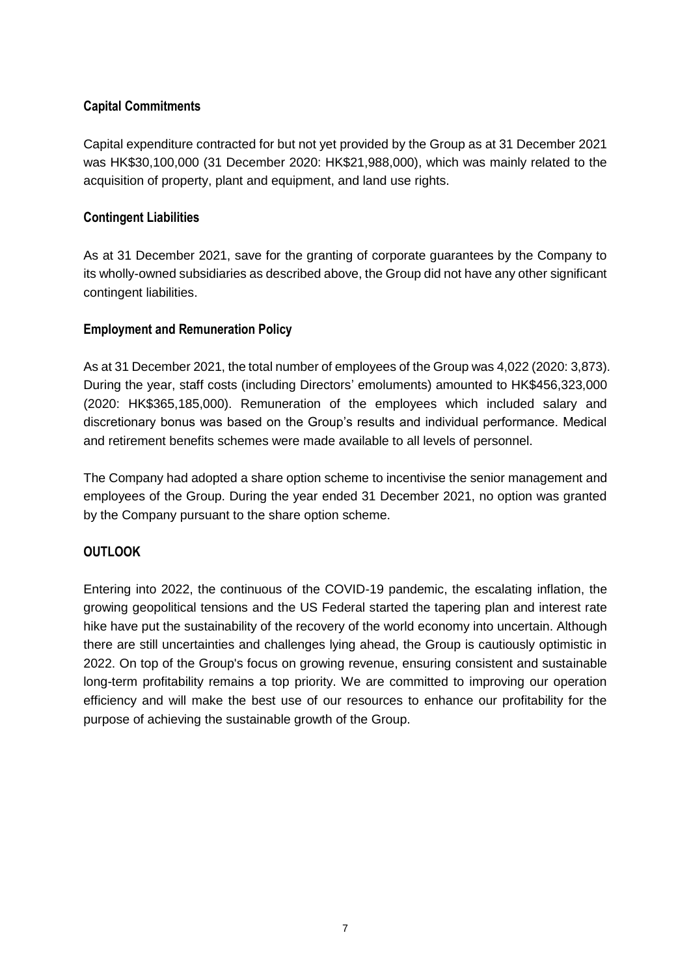## **Capital Commitments**

Capital expenditure contracted for but not yet provided by the Group as at 31 December 2021 was HK\$30,100,000 (31 December 2020: HK\$21,988,000), which was mainly related to the acquisition of property, plant and equipment, and land use rights.

## **Contingent Liabilities**

As at 31 December 2021, save for the granting of corporate guarantees by the Company to its wholly-owned subsidiaries as described above, the Group did not have any other significant contingent liabilities.

## **Employment and Remuneration Policy**

As at 31 December 2021, the total number of employees of the Group was 4,022 (2020: 3,873). During the year, staff costs (including Directors' emoluments) amounted to HK\$456,323,000 (2020: HK\$365,185,000). Remuneration of the employees which included salary and discretionary bonus was based on the Group's results and individual performance. Medical and retirement benefits schemes were made available to all levels of personnel.

The Company had adopted a share option scheme to incentivise the senior management and employees of the Group. During the year ended 31 December 2021, no option was granted by the Company pursuant to the share option scheme.

## **OUTLOOK**

Entering into 2022, the continuous of the COVID-19 pandemic, the escalating inflation, the growing geopolitical tensions and the US Federal started the tapering plan and interest rate hike have put the sustainability of the recovery of the world economy into uncertain. Although there are still uncertainties and challenges lying ahead, the Group is cautiously optimistic in 2022. On top of the Group's focus on growing revenue, ensuring consistent and sustainable long-term profitability remains a top priority. We are committed to improving our operation efficiency and will make the best use of our resources to enhance our profitability for the purpose of achieving the sustainable growth of the Group.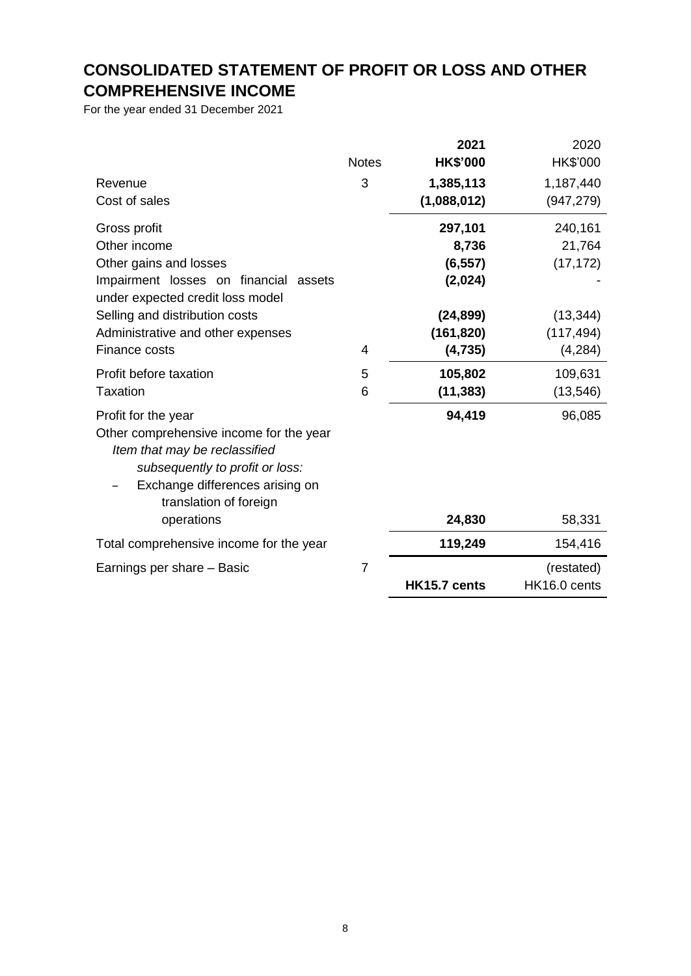## **CONSOLIDATED STATEMENT OF PROFIT OR LOSS AND OTHER COMPREHENSIVE INCOME**

For the year ended 31 December 2021

|                                                                                                                                                                          |                | 2021            | 2020                       |
|--------------------------------------------------------------------------------------------------------------------------------------------------------------------------|----------------|-----------------|----------------------------|
|                                                                                                                                                                          | <b>Notes</b>   | <b>HK\$'000</b> | HK\$'000                   |
| Revenue                                                                                                                                                                  | 3              | 1,385,113       | 1,187,440                  |
| Cost of sales                                                                                                                                                            |                | (1,088,012)     | (947, 279)                 |
| Gross profit                                                                                                                                                             |                | 297,101         | 240,161                    |
| Other income                                                                                                                                                             |                | 8,736           | 21,764                     |
| Other gains and losses                                                                                                                                                   |                | (6, 557)        | (17, 172)                  |
| Impairment losses on financial<br>assets                                                                                                                                 |                | (2,024)         |                            |
| under expected credit loss model                                                                                                                                         |                |                 |                            |
| Selling and distribution costs                                                                                                                                           |                | (24, 899)       | (13, 344)                  |
| Administrative and other expenses                                                                                                                                        |                | (161, 820)      | (117, 494)                 |
| Finance costs                                                                                                                                                            | 4              | (4, 735)        | (4, 284)                   |
| Profit before taxation                                                                                                                                                   | 5              | 105,802         | 109,631                    |
| <b>Taxation</b>                                                                                                                                                          | 6              | (11, 383)       | (13, 546)                  |
| Profit for the year                                                                                                                                                      |                | 94,419          | 96,085                     |
| Other comprehensive income for the year<br>Item that may be reclassified<br>subsequently to profit or loss:<br>Exchange differences arising on<br>translation of foreign |                |                 |                            |
| operations                                                                                                                                                               |                | 24,830          | 58,331                     |
| Total comprehensive income for the year                                                                                                                                  |                | 119,249         | 154,416                    |
| Earnings per share - Basic                                                                                                                                               | $\overline{7}$ | HK15.7 cents    | (restated)<br>HK16.0 cents |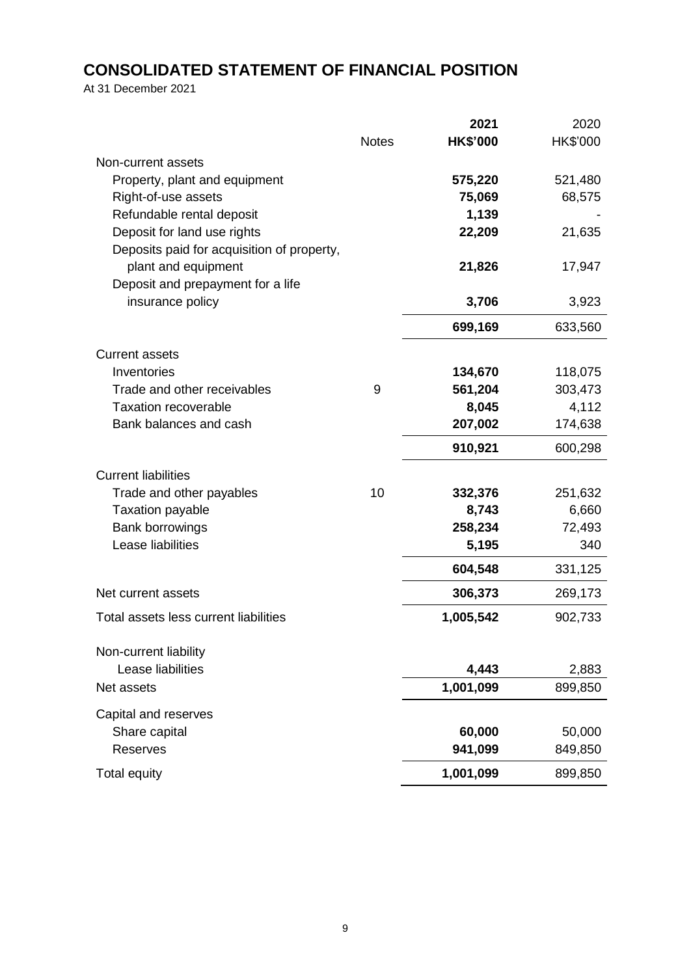## **CONSOLIDATED STATEMENT OF FINANCIAL POSITION**

At 31 December 2021

|                                            |              | 2021            | 2020     |
|--------------------------------------------|--------------|-----------------|----------|
|                                            | <b>Notes</b> | <b>HK\$'000</b> | HK\$'000 |
| Non-current assets                         |              |                 |          |
| Property, plant and equipment              |              | 575,220         | 521,480  |
| Right-of-use assets                        |              | 75,069          | 68,575   |
| Refundable rental deposit                  |              | 1,139           |          |
| Deposit for land use rights                |              | 22,209          | 21,635   |
| Deposits paid for acquisition of property, |              |                 |          |
| plant and equipment                        |              | 21,826          | 17,947   |
| Deposit and prepayment for a life          |              |                 |          |
| insurance policy                           |              | 3,706           | 3,923    |
|                                            |              | 699,169         | 633,560  |
| <b>Current assets</b>                      |              |                 |          |
| Inventories                                |              | 134,670         | 118,075  |
| Trade and other receivables                | 9            | 561,204         | 303,473  |
| <b>Taxation recoverable</b>                |              | 8,045           | 4,112    |
| Bank balances and cash                     |              | 207,002         | 174,638  |
|                                            |              | 910,921         | 600,298  |
| <b>Current liabilities</b>                 |              |                 |          |
| Trade and other payables                   | 10           | 332,376         | 251,632  |
| <b>Taxation payable</b>                    |              | 8,743           | 6,660    |
| <b>Bank borrowings</b>                     |              | 258,234         | 72,493   |
| Lease liabilities                          |              | 5,195           | 340      |
|                                            |              | 604,548         | 331,125  |
| Net current assets                         |              | 306,373         | 269,173  |
| Total assets less current liabilities      |              | 1,005,542       | 902,733  |
|                                            |              |                 |          |
| Non-current liability<br>Lease liabilities |              | 4,443           | 2,883    |
| Net assets                                 |              | 1,001,099       | 899,850  |
|                                            |              |                 |          |
| Capital and reserves                       |              |                 |          |
| Share capital                              |              | 60,000          | 50,000   |
| Reserves                                   |              | 941,099         | 849,850  |
| <b>Total equity</b>                        |              | 1,001,099       | 899,850  |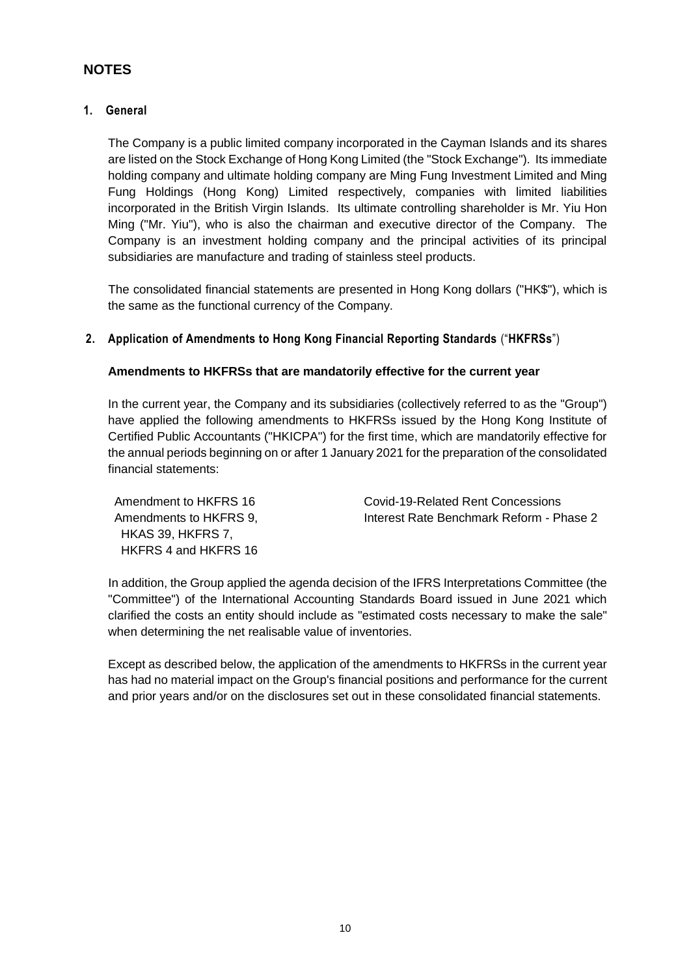## **NOTES**

#### **1. General**

The Company is a public limited company incorporated in the Cayman Islands and its shares are listed on the Stock Exchange of Hong Kong Limited (the "Stock Exchange"). Its immediate holding company and ultimate holding company are Ming Fung Investment Limited and Ming Fung Holdings (Hong Kong) Limited respectively, companies with limited liabilities incorporated in the British Virgin Islands. Its ultimate controlling shareholder is Mr. Yiu Hon Ming ("Mr. Yiu"), who is also the chairman and executive director of the Company. The Company is an investment holding company and the principal activities of its principal subsidiaries are manufacture and trading of stainless steel products.

The consolidated financial statements are presented in Hong Kong dollars ("HK\$"), which is the same as the functional currency of the Company.

#### **2. Application of Amendments to Hong Kong Financial Reporting Standards** ("**HKFRSs**")

#### **Amendments to HKFRSs that are mandatorily effective for the current year**

In the current year, the Company and its subsidiaries (collectively referred to as the "Group") have applied the following amendments to HKFRSs issued by the Hong Kong Institute of Certified Public Accountants ("HKICPA") for the first time, which are mandatorily effective for the annual periods beginning on or after 1 January 2021 for the preparation of the consolidated financial statements:

 HKAS 39, HKFRS 7, HKFRS 4 and HKFRS 16

Amendment to HKFRS 16 Covid-19-Related Rent Concessions Amendments to HKFRS 9. Interest Rate Benchmark Reform - Phase 2

In addition, the Group applied the agenda decision of the IFRS Interpretations Committee (the "Committee") of the International Accounting Standards Board issued in June 2021 which clarified the costs an entity should include as "estimated costs necessary to make the sale" when determining the net realisable value of inventories.

Except as described below, the application of the amendments to HKFRSs in the current year has had no material impact on the Group's financial positions and performance for the current and prior years and/or on the disclosures set out in these consolidated financial statements.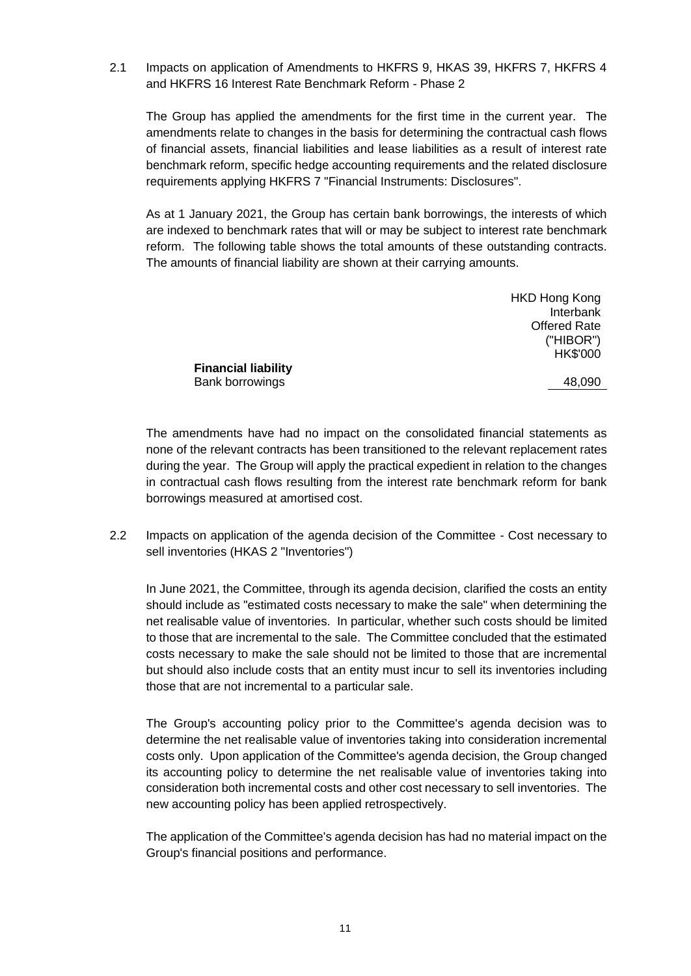2.1 Impacts on application of Amendments to HKFRS 9, HKAS 39, HKFRS 7, HKFRS 4 and HKFRS 16 Interest Rate Benchmark Reform - Phase 2

The Group has applied the amendments for the first time in the current year. The amendments relate to changes in the basis for determining the contractual cash flows of financial assets, financial liabilities and lease liabilities as a result of interest rate benchmark reform, specific hedge accounting requirements and the related disclosure requirements applying HKFRS 7 "Financial Instruments: Disclosures".

As at 1 January 2021, the Group has certain bank borrowings, the interests of which are indexed to benchmark rates that will or may be subject to interest rate benchmark reform. The following table shows the total amounts of these outstanding contracts. The amounts of financial liability are shown at their carrying amounts.

|                            | <b>HKD Hong Kong</b> |
|----------------------------|----------------------|
|                            | Interbank            |
|                            | <b>Offered Rate</b>  |
|                            | ("HIBOR")            |
|                            | HK\$'000             |
| <b>Financial liability</b> |                      |
| Bank borrowings            | 48,090               |
|                            |                      |

The amendments have had no impact on the consolidated financial statements as none of the relevant contracts has been transitioned to the relevant replacement rates during the year. The Group will apply the practical expedient in relation to the changes in contractual cash flows resulting from the interest rate benchmark reform for bank borrowings measured at amortised cost.

2.2 Impacts on application of the agenda decision of the Committee - Cost necessary to sell inventories (HKAS 2 "Inventories")

In June 2021, the Committee, through its agenda decision, clarified the costs an entity should include as "estimated costs necessary to make the sale" when determining the net realisable value of inventories. In particular, whether such costs should be limited to those that are incremental to the sale. The Committee concluded that the estimated costs necessary to make the sale should not be limited to those that are incremental but should also include costs that an entity must incur to sell its inventories including those that are not incremental to a particular sale.

The Group's accounting policy prior to the Committee's agenda decision was to determine the net realisable value of inventories taking into consideration incremental costs only. Upon application of the Committee's agenda decision, the Group changed its accounting policy to determine the net realisable value of inventories taking into consideration both incremental costs and other cost necessary to sell inventories. The new accounting policy has been applied retrospectively.

The application of the Committee's agenda decision has had no material impact on the Group's financial positions and performance.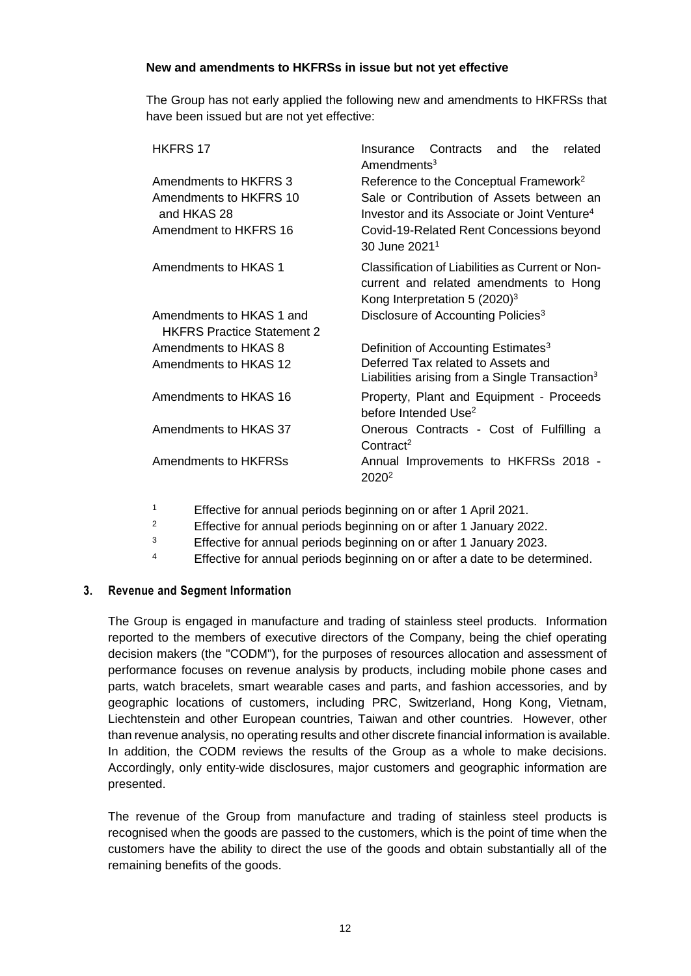#### **New and amendments to HKFRSs in issue but not yet effective**

The Group has not early applied the following new and amendments to HKFRSs that have been issued but are not yet effective:

| <b>HKFRS 17</b>                                               | Contracts and<br>the<br>related<br>Insurance<br>$A$ mendments <sup>3</sup>                                                              |
|---------------------------------------------------------------|-----------------------------------------------------------------------------------------------------------------------------------------|
| Amendments to HKFRS 3                                         | Reference to the Conceptual Framework <sup>2</sup>                                                                                      |
| Amendments to HKFRS 10<br>and HKAS 28                         | Sale or Contribution of Assets between an<br>Investor and its Associate or Joint Venture <sup>4</sup>                                   |
| Amendment to HKFRS 16                                         | Covid-19-Related Rent Concessions beyond<br>30 June 2021 <sup>1</sup>                                                                   |
| Amendments to HKAS 1                                          | Classification of Liabilities as Current or Non-<br>current and related amendments to Hong<br>Kong Interpretation 5 (2020) <sup>3</sup> |
| Amendments to HKAS 1 and<br><b>HKFRS Practice Statement 2</b> | Disclosure of Accounting Policies <sup>3</sup>                                                                                          |
| Amendments to HKAS 8                                          | Definition of Accounting Estimates <sup>3</sup>                                                                                         |
| Amendments to HKAS 12                                         | Deferred Tax related to Assets and<br>Liabilities arising from a Single Transaction <sup>3</sup>                                        |
| Amendments to HKAS 16                                         | Property, Plant and Equipment - Proceeds<br>before Intended Use <sup>2</sup>                                                            |
| Amendments to HKAS 37                                         | Onerous Contracts - Cost of Fulfilling a<br>Control <sup>2</sup>                                                                        |
| Amendments to HKFRSs                                          | Annual Improvements to HKFRSs 2018 -<br>2020 <sup>2</sup>                                                                               |

- <sup>1</sup> Effective for annual periods beginning on or after 1 April 2021.
- <sup>2</sup> Effective for annual periods beginning on or after 1 January 2022.
- 3 Effective for annual periods beginning on or after 1 January 2023.
- <sup>4</sup> Effective for annual periods beginning on or after a date to be determined.

#### **3. Revenue and Segment Information**

The Group is engaged in manufacture and trading of stainless steel products. Information reported to the members of executive directors of the Company, being the chief operating decision makers (the "CODM"), for the purposes of resources allocation and assessment of performance focuses on revenue analysis by products, including mobile phone cases and parts, watch bracelets, smart wearable cases and parts, and fashion accessories, and by geographic locations of customers, including PRC, Switzerland, Hong Kong, Vietnam, Liechtenstein and other European countries, Taiwan and other countries. However, other than revenue analysis, no operating results and other discrete financial information is available. In addition, the CODM reviews the results of the Group as a whole to make decisions. Accordingly, only entity-wide disclosures, major customers and geographic information are presented.

The revenue of the Group from manufacture and trading of stainless steel products is recognised when the goods are passed to the customers, which is the point of time when the customers have the ability to direct the use of the goods and obtain substantially all of the remaining benefits of the goods.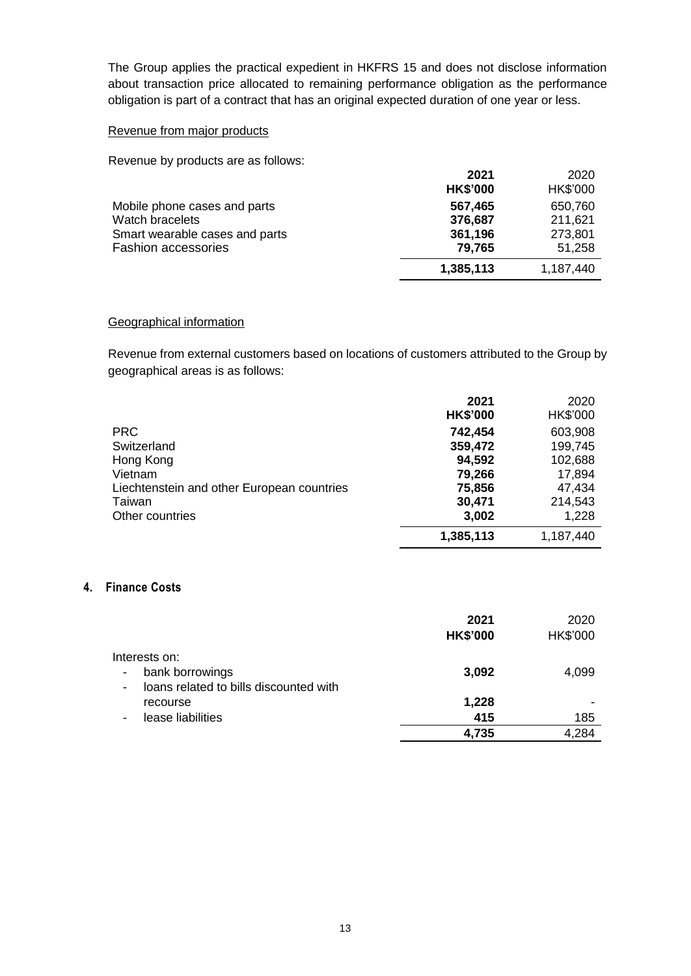The Group applies the practical expedient in HKFRS 15 and does not disclose information about transaction price allocated to remaining performance obligation as the performance obligation is part of a contract that has an original expected duration of one year or less.

#### Revenue from major products

Revenue by products are as follows:

|                                                                                                                 | 2021<br><b>HK\$'000</b>                 | 2020<br>HK\$'000                        |
|-----------------------------------------------------------------------------------------------------------------|-----------------------------------------|-----------------------------------------|
| Mobile phone cases and parts<br>Watch bracelets<br>Smart wearable cases and parts<br><b>Fashion accessories</b> | 567,465<br>376,687<br>361,196<br>79,765 | 650,760<br>211,621<br>273,801<br>51,258 |
|                                                                                                                 | 1,385,113                               | 1,187,440                               |

#### Geographical information

Revenue from external customers based on locations of customers attributed to the Group by geographical areas is as follows:

|                                            | 2021<br><b>HK\$'000</b> | 2020<br>HK\$'000 |
|--------------------------------------------|-------------------------|------------------|
| <b>PRC</b>                                 | 742,454                 | 603,908          |
| Switzerland                                | 359,472                 | 199,745          |
| Hong Kong                                  | 94,592                  | 102,688          |
| Vietnam                                    | 79,266                  | 17,894           |
| Liechtenstein and other European countries | 75,856                  | 47,434           |
| Taiwan                                     | 30,471                  | 214,543          |
| Other countries                            | 3,002                   | 1,228            |
|                                            | 1,385,113               | 1,187,440        |

#### **4. Finance Costs**

|                                                          | 2021<br><b>HK\$'000</b> | 2020<br>HK\$'000 |
|----------------------------------------------------------|-------------------------|------------------|
| Interests on:                                            |                         |                  |
| bank borrowings<br>$\overline{\phantom{a}}$              | 3,092                   | 4,099            |
| loans related to bills discounted with<br>$\blacksquare$ |                         |                  |
| recourse                                                 | 1,228                   |                  |
| lease liabilities                                        | 415                     | 185              |
|                                                          | 4,735                   | 4,284            |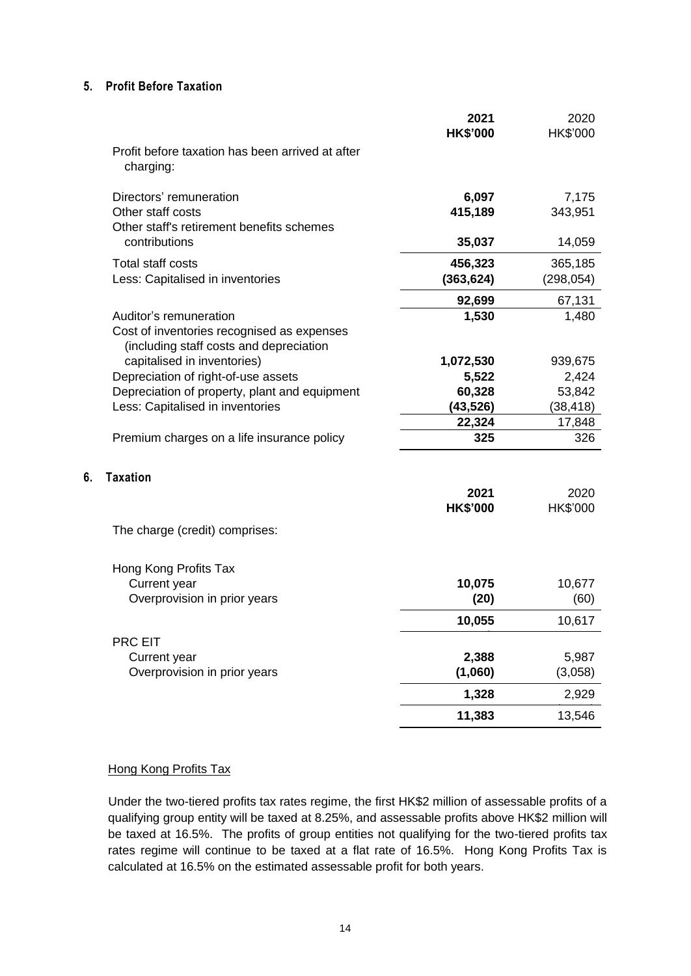#### **5. Profit Before Taxation**

|                                                                      | 2021<br><b>HK\$'000</b> | 2020<br><b>HK\$'000</b> |
|----------------------------------------------------------------------|-------------------------|-------------------------|
| Profit before taxation has been arrived at after<br>charging:        |                         |                         |
| Directors' remuneration                                              |                         |                         |
| Other staff costs                                                    | 6,097<br>415,189        | 7,175<br>343,951        |
| Other staff's retirement benefits schemes                            |                         |                         |
| contributions                                                        | 35,037                  | 14,059                  |
| <b>Total staff costs</b>                                             | 456,323                 | 365,185                 |
| Less: Capitalised in inventories                                     | (363, 624)              | (298, 054)              |
|                                                                      | 92,699                  | 67,131                  |
| Auditor's remuneration<br>Cost of inventories recognised as expenses | 1,530                   | 1,480                   |
| (including staff costs and depreciation                              |                         |                         |
| capitalised in inventories)                                          | 1,072,530               | 939,675                 |
| Depreciation of right-of-use assets                                  | 5,522                   | 2,424                   |
| Depreciation of property, plant and equipment                        | 60,328                  | 53,842                  |
| Less: Capitalised in inventories                                     | (43, 526)               | (38, 418)               |
| Premium charges on a life insurance policy                           | 22,324<br>325           | 17,848<br>326           |
|                                                                      |                         |                         |
| <b>Taxation</b>                                                      |                         |                         |
|                                                                      | 2021                    | 2020                    |
|                                                                      | <b>HK\$'000</b>         | HK\$'000                |
| The charge (credit) comprises:                                       |                         |                         |
|                                                                      |                         |                         |
| Hong Kong Profits Tax                                                |                         |                         |
| Current year                                                         | 10,075                  | 10,677                  |
| Overprovision in prior years                                         | (20)                    | (60)                    |
|                                                                      | 10,055                  | 10,617                  |
| PRC EIT                                                              |                         |                         |
| Current year                                                         | 2,388                   | 5,987                   |
| Overprovision in prior years                                         | (1,060)                 | (3,058)                 |
|                                                                      | 1,328                   | 2,929                   |
|                                                                      | 11,383                  | 13,546                  |

#### Hong Kong Profits Tax

**6. Taxation**

Under the two-tiered profits tax rates regime, the first HK\$2 million of assessable profits of a qualifying group entity will be taxed at 8.25%, and assessable profits above HK\$2 million will be taxed at 16.5%. The profits of group entities not qualifying for the two-tiered profits tax rates regime will continue to be taxed at a flat rate of 16.5%. Hong Kong Profits Tax is calculated at 16.5% on the estimated assessable profit for both years.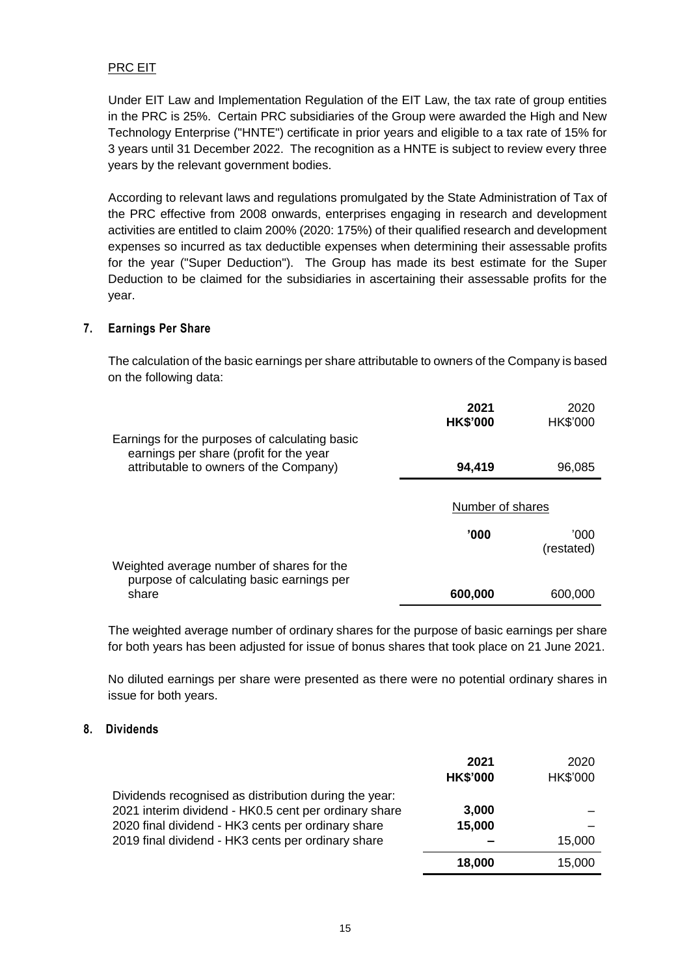#### PRC EIT

Under EIT Law and Implementation Regulation of the EIT Law, the tax rate of group entities in the PRC is 25%. Certain PRC subsidiaries of the Group were awarded the High and New Technology Enterprise ("HNTE") certificate in prior years and eligible to a tax rate of 15% for 3 years until 31 December 2022. The recognition as a HNTE is subject to review every three years by the relevant government bodies.

According to relevant laws and regulations promulgated by the State Administration of Tax of the PRC effective from 2008 onwards, enterprises engaging in research and development activities are entitled to claim 200% (2020: 175%) of their qualified research and development expenses so incurred as tax deductible expenses when determining their assessable profits for the year ("Super Deduction"). The Group has made its best estimate for the Super Deduction to be claimed for the subsidiaries in ascertaining their assessable profits for the year.

#### **7. Earnings Per Share**

The calculation of the basic earnings per share attributable to owners of the Company is based on the following data:

|                                                                                           | 2021<br><b>HK\$'000</b> | 2020<br>HK\$'000   |
|-------------------------------------------------------------------------------------------|-------------------------|--------------------|
| Earnings for the purposes of calculating basic<br>earnings per share (profit for the year |                         |                    |
| attributable to owners of the Company)                                                    | 94,419                  | 96,085             |
|                                                                                           |                         |                    |
|                                                                                           | Number of shares        |                    |
|                                                                                           | '000                    | '000<br>(restated) |
| Weighted average number of shares for the<br>purpose of calculating basic earnings per    |                         |                    |
| share                                                                                     | 600,000                 | 600,000            |

The weighted average number of ordinary shares for the purpose of basic earnings per share for both years has been adjusted for issue of bonus shares that took place on 21 June 2021.

No diluted earnings per share were presented as there were no potential ordinary shares in issue for both years.

#### **8. Dividends**

|                                                                                                                                                                      | 2021<br><b>HK\$'000</b> | 2020<br>HK\$'000 |
|----------------------------------------------------------------------------------------------------------------------------------------------------------------------|-------------------------|------------------|
| Dividends recognised as distribution during the year:<br>2021 interim dividend - HK0.5 cent per ordinary share<br>2020 final dividend - HK3 cents per ordinary share | 3,000<br>15,000         |                  |
| 2019 final dividend - HK3 cents per ordinary share                                                                                                                   |                         | 15,000           |
|                                                                                                                                                                      | 18,000                  | 15,000           |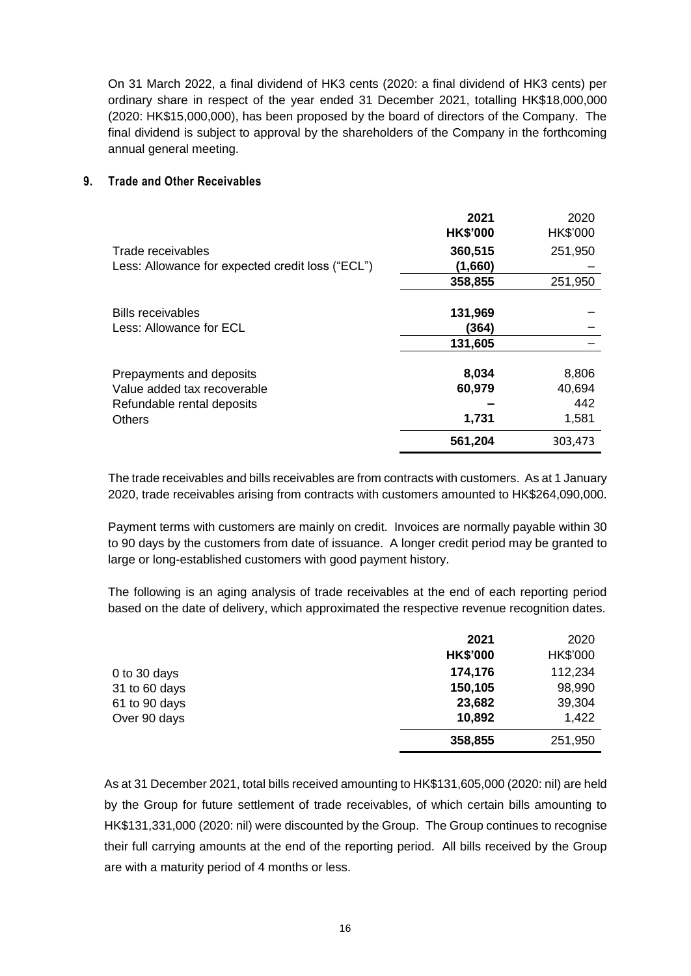On 31 March 2022, a final dividend of HK3 cents (2020: a final dividend of HK3 cents) per ordinary share in respect of the year ended 31 December 2021, totalling HK\$18,000,000 (2020: HK\$15,000,000), has been proposed by the board of directors of the Company. The final dividend is subject to approval by the shareholders of the Company in the forthcoming annual general meeting.

#### **9. Trade and Other Receivables**

|                                                  | 2021<br><b>HK\$'000</b> | 2020<br>HK\$'000 |
|--------------------------------------------------|-------------------------|------------------|
| Trade receivables                                | 360,515                 | 251,950          |
| Less: Allowance for expected credit loss ("ECL") | (1,660)                 |                  |
|                                                  | 358,855                 | 251,950          |
| <b>Bills receivables</b>                         | 131,969                 |                  |
| Less: Allowance for ECL                          | (364)                   |                  |
|                                                  | 131,605                 |                  |
| Prepayments and deposits                         | 8,034                   | 8,806            |
| Value added tax recoverable                      | 60,979                  | 40,694           |
| Refundable rental deposits                       |                         | 442              |
| <b>Others</b>                                    | 1,731                   | 1,581            |
|                                                  | 561,204                 | 303,473          |

The trade receivables and bills receivables are from contracts with customers. As at 1 January 2020, trade receivables arising from contracts with customers amounted to HK\$264,090,000.

Payment terms with customers are mainly on credit. Invoices are normally payable within 30 to 90 days by the customers from date of issuance. A longer credit period may be granted to large or long-established customers with good payment history.

The following is an aging analysis of trade receivables at the end of each reporting period based on the date of delivery, which approximated the respective revenue recognition dates.

|               | 2021            | 2020     |
|---------------|-----------------|----------|
|               | <b>HK\$'000</b> | HK\$'000 |
| 0 to 30 days  | 174,176         | 112,234  |
| 31 to 60 days | 150,105         | 98,990   |
| 61 to 90 days | 23,682          | 39,304   |
| Over 90 days  | 10,892          | 1,422    |
|               | 358,855         | 251,950  |

As at 31 December 2021, total bills received amounting to HK\$131,605,000 (2020: nil) are held by the Group for future settlement of trade receivables, of which certain bills amounting to HK\$131,331,000 (2020: nil) were discounted by the Group. The Group continues to recognise their full carrying amounts at the end of the reporting period. All bills received by the Group are with a maturity period of 4 months or less.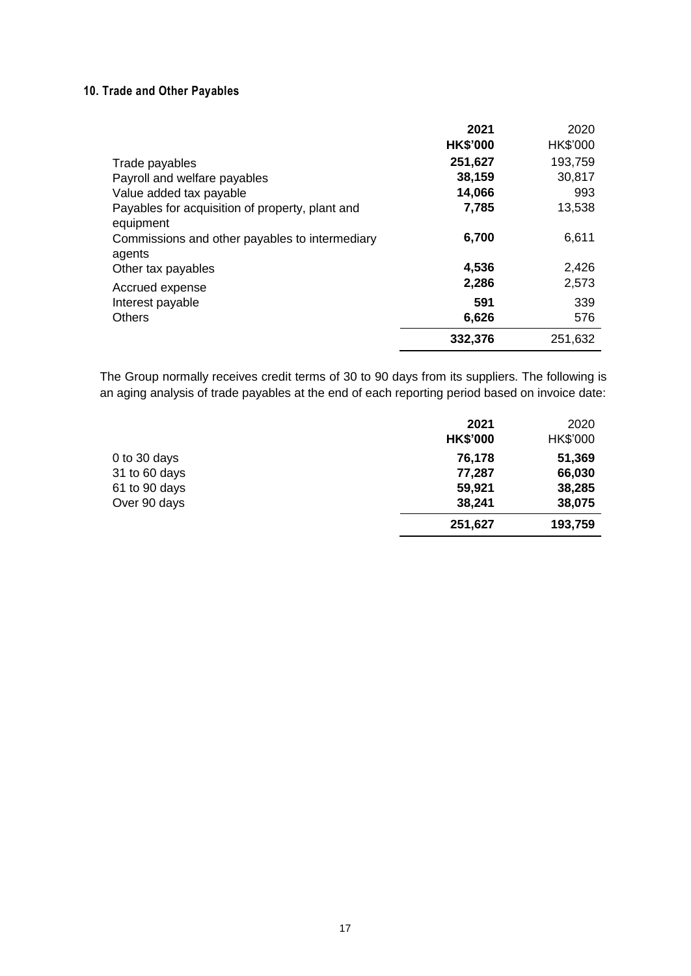## **10. Trade and Other Payables**

|                                                 | 2021            | 2020     |
|-------------------------------------------------|-----------------|----------|
|                                                 | <b>HK\$'000</b> | HK\$'000 |
| Trade payables                                  | 251,627         | 193,759  |
| Payroll and welfare payables                    | 38,159          | 30,817   |
| Value added tax payable                         | 14,066          | 993      |
| Payables for acquisition of property, plant and | 7,785           | 13,538   |
| equipment                                       |                 |          |
| Commissions and other payables to intermediary  | 6,700           | 6,611    |
| agents                                          |                 |          |
| Other tax payables                              | 4,536           | 2,426    |
| Accrued expense                                 | 2,286           | 2,573    |
| Interest payable                                | 591             | 339      |
| <b>Others</b>                                   | 6,626           | 576      |
|                                                 | 332,376         | 251,632  |

The Group normally receives credit terms of 30 to 90 days from its suppliers. The following is an aging analysis of trade payables at the end of each reporting period based on invoice date:

|               | 2021            | 2020     |
|---------------|-----------------|----------|
|               | <b>HK\$'000</b> | HK\$'000 |
| 0 to 30 days  | 76,178          | 51,369   |
| 31 to 60 days | 77,287          | 66,030   |
| 61 to 90 days | 59,921          | 38,285   |
| Over 90 days  | 38,241          | 38,075   |
|               | 251,627         | 193,759  |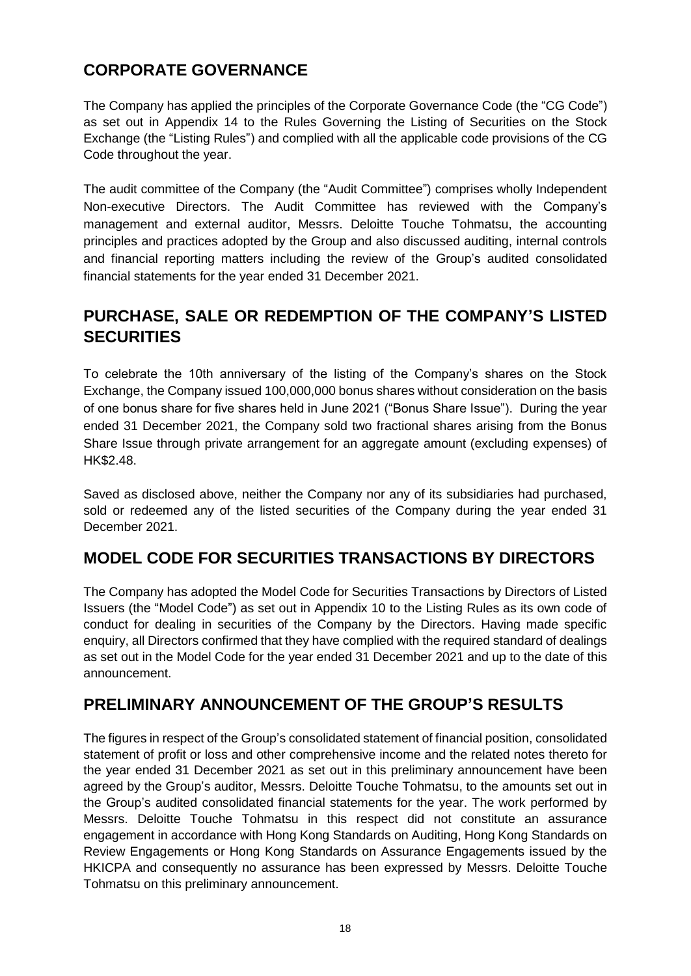## **CORPORATE GOVERNANCE**

The Company has applied the principles of the Corporate Governance Code (the "CG Code") as set out in Appendix 14 to the Rules Governing the Listing of Securities on the Stock Exchange (the "Listing Rules") and complied with all the applicable code provisions of the CG Code throughout the year.

The audit committee of the Company (the "Audit Committee") comprises wholly Independent Non-executive Directors. The Audit Committee has reviewed with the Company's management and external auditor, Messrs. Deloitte Touche Tohmatsu, the accounting principles and practices adopted by the Group and also discussed auditing, internal controls and financial reporting matters including the review of the Group's audited consolidated financial statements for the year ended 31 December 2021.

## **PURCHASE, SALE OR REDEMPTION OF THE COMPANY'S LISTED SECURITIES**

To celebrate the 10th anniversary of the listing of the Company's shares on the Stock Exchange, the Company issued 100,000,000 bonus shares without consideration on the basis of one bonus share for five shares held in June 2021 ("Bonus Share Issue"). During the year ended 31 December 2021, the Company sold two fractional shares arising from the Bonus Share Issue through private arrangement for an aggregate amount (excluding expenses) of HK\$2.48.

Saved as disclosed above, neither the Company nor any of its subsidiaries had purchased, sold or redeemed any of the listed securities of the Company during the year ended 31 December 2021.

## **MODEL CODE FOR SECURITIES TRANSACTIONS BY DIRECTORS**

The Company has adopted the Model Code for Securities Transactions by Directors of Listed Issuers (the "Model Code") as set out in Appendix 10 to the Listing Rules as its own code of conduct for dealing in securities of the Company by the Directors. Having made specific enquiry, all Directors confirmed that they have complied with the required standard of dealings as set out in the Model Code for the year ended 31 December 2021 and up to the date of this announcement.

## **PRELIMINARY ANNOUNCEMENT OF THE GROUP'S RESULTS**

The figures in respect of the Group's consolidated statement of financial position, consolidated statement of profit or loss and other comprehensive income and the related notes thereto for the year ended 31 December 2021 as set out in this preliminary announcement have been agreed by the Group's auditor, Messrs. Deloitte Touche Tohmatsu, to the amounts set out in the Group's audited consolidated financial statements for the year. The work performed by Messrs. Deloitte Touche Tohmatsu in this respect did not constitute an assurance engagement in accordance with Hong Kong Standards on Auditing, Hong Kong Standards on Review Engagements or Hong Kong Standards on Assurance Engagements issued by the HKICPA and consequently no assurance has been expressed by Messrs. Deloitte Touche Tohmatsu on this preliminary announcement.